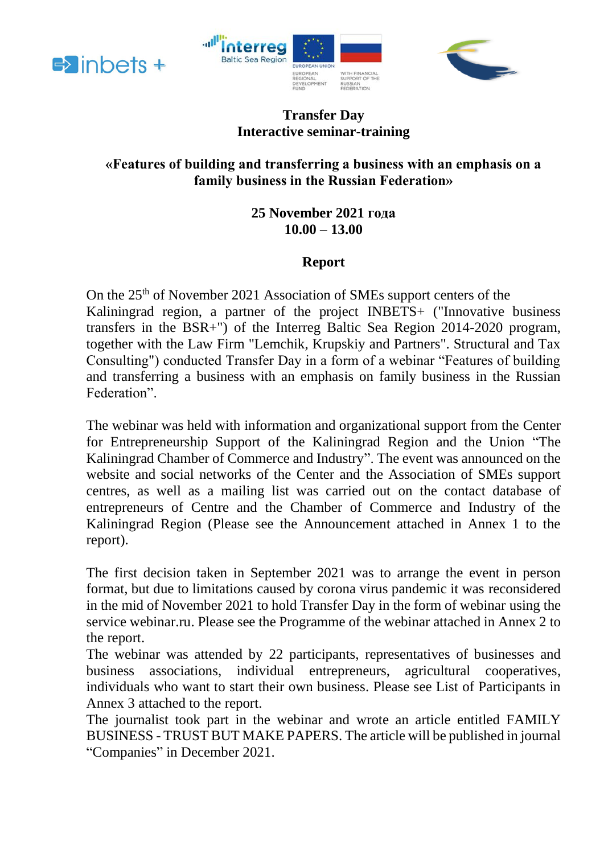





## **Transfer Day Interactive seminar-training**

# **«Features of building and transferring a business with an emphasis on a family business in the Russian Federation»**

## **25 November 2021 года 10.00 – 13.00**

# **Report**

On the 25th of November 2021 Association of SMEs support centers of the Kaliningrad region, a partner of the project INBETS+ ("Innovative business transfers in the BSR+") of the Interreg Baltic Sea Region 2014-2020 program, together with the Law Firm "Lemchik, Krupskiy and Partners". Structural and Tax Consulting") conducted Transfer Day in a form of a webinar "Features of building and transferring a business with an emphasis on family business in the Russian Federation".

The webinar was held with information and organizational support from the Center for Entrepreneurship Support of the Kaliningrad Region and the Union "The Kaliningrad Chamber of Commerce and Industry". The event was announced on the website and social networks of the Center and the Association of SMEs support centres, as well as a mailing list was carried out on the contact database of entrepreneurs of Centre and the Chamber of Commerce and Industry of the Kaliningrad Region (Please see the Announcement attached in Annex 1 to the report).

The first decision taken in September 2021 was to arrange the event in person format, but due to limitations caused by corona virus pandemic it was reconsidered in the mid of November 2021 to hold Transfer Day in the form of webinar using the service webinar.ru. Please see the Programme of the webinar attached in Annex 2 to the report.

The webinar was attended by 22 participants, representatives of businesses and business associations, individual entrepreneurs, agricultural cooperatives, individuals who want to start their own business. Please see List of Participants in Annex 3 attached to the report.

The journalist took part in the webinar and wrote an article entitled FAMILY BUSINESS - TRUST BUT MAKE PAPERS. The article will be published in journal "Companies" in December 2021.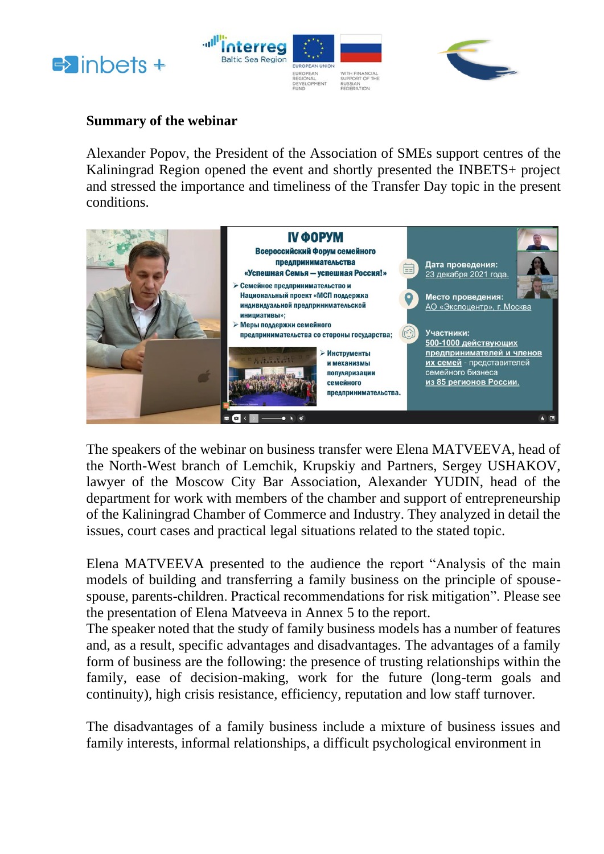





#### **Summary of the webinar**

Alexander Popov, the President of the Association of SMEs support centres of the Kaliningrad Region opened the event and shortly presented the INBETS+ project and stressed the importance and timeliness of the Transfer Day topic in the present conditions.



The speakers of the webinar on business transfer were Elena MATVEEVA, head of the North-West branch of Lemchik, Krupskiy and Partners, Sergey USHAKOV, lawyer of the Moscow City Bar Association, Alexander YUDIN, head of the department for work with members of the chamber and support of entrepreneurship of the Kaliningrad Chamber of Commerce and Industry. They analyzed in detail the issues, court cases and practical legal situations related to the stated topic.

Elena MATVEEVA presented to the audience the report "Analysis of the main models of building and transferring a family business on the principle of spousespouse, parents-children. Practical recommendations for risk mitigation". Please see the presentation of Elena Matveeva in Annex 5 to the report.

The speaker noted that the study of family business models has a number of features and, as a result, specific advantages and disadvantages. The advantages of a family form of business are the following: the presence of trusting relationships within the family, ease of decision-making, work for the future (long-term goals and continuity), high crisis resistance, efficiency, reputation and low staff turnover.

The disadvantages of a family business include a mixture of business issues and family interests, informal relationships, a difficult psychological environment in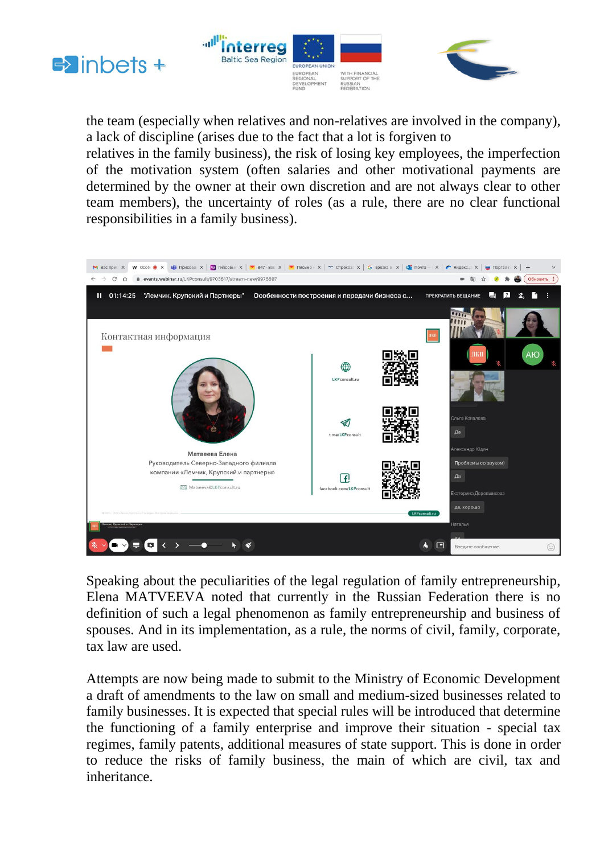





the team (especially when relatives and non-relatives are involved in the company), a lack of discipline (arises due to the fact that a lot is forgiven to

relatives in the family business), the risk of losing key employees, the imperfection of the motivation system (often salaries and other motivational payments are determined by the owner at their own discretion and are not always clear to other team members), the uncertainty of roles (as a rule, there are no clear functional responsibilities in a family business).



Speaking about the peculiarities of the legal regulation of family entrepreneurship, Elena MATVEEVA noted that currently in the Russian Federation there is no definition of such a legal phenomenon as family entrepreneurship and business of spouses. And in its implementation, as a rule, the norms of civil, family, corporate, tax law are used.

Attempts are now being made to submit to the Ministry of Economic Development a draft of amendments to the law on small and medium-sized businesses related to family businesses. It is expected that special rules will be introduced that determine the functioning of a family enterprise and improve their situation - special tax regimes, family patents, additional measures of state support. This is done in order to reduce the risks of family business, the main of which are civil, tax and inheritance.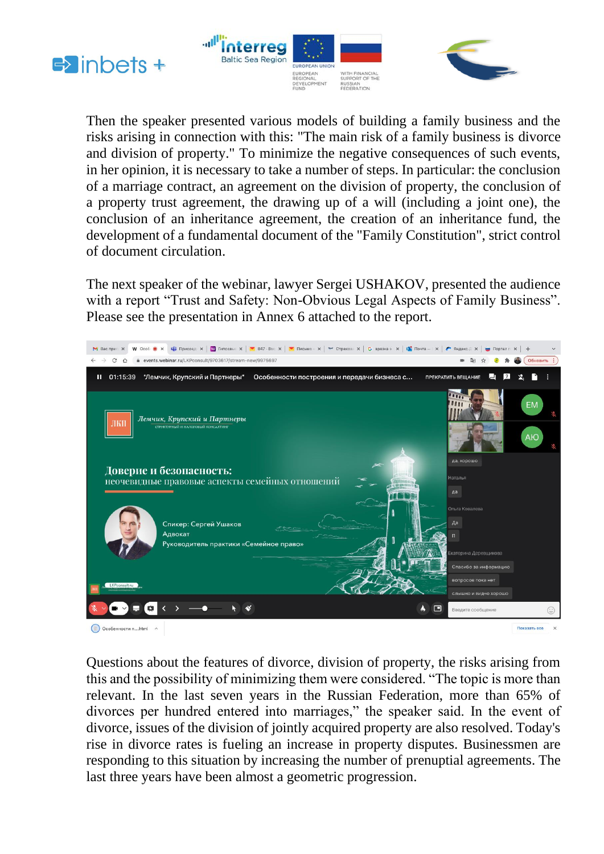





Then the speaker presented various models of building a family business and the risks arising in connection with this: "The main risk of a family business is divorce and division of property." To minimize the negative consequences of such events, in her opinion, it is necessary to take a number of steps. In particular: the conclusion of a marriage contract, an agreement on the division of property, the conclusion of a property trust agreement, the drawing up of a will (including a joint one), the conclusion of an inheritance agreement, the creation of an inheritance fund, the development of a fundamental document of the "Family Constitution", strict control of document circulation.

The next speaker of the webinar, lawyer Sergei USHAKOV, presented the audience with a report "Trust and Safety: Non-Obvious Legal Aspects of Family Business". Please see the presentation in Annex 6 attached to the report.



Questions about the features of divorce, division of property, the risks arising from this and the possibility of minimizing them were considered. "The topic is more than relevant. In the last seven years in the Russian Federation, more than 65% of divorces per hundred entered into marriages," the speaker said. In the event of divorce, issues of the division of jointly acquired property are also resolved. Today's rise in divorce rates is fueling an increase in property disputes. Businessmen are responding to this situation by increasing the number of prenuptial agreements. The last three years have been almost a geometric progression.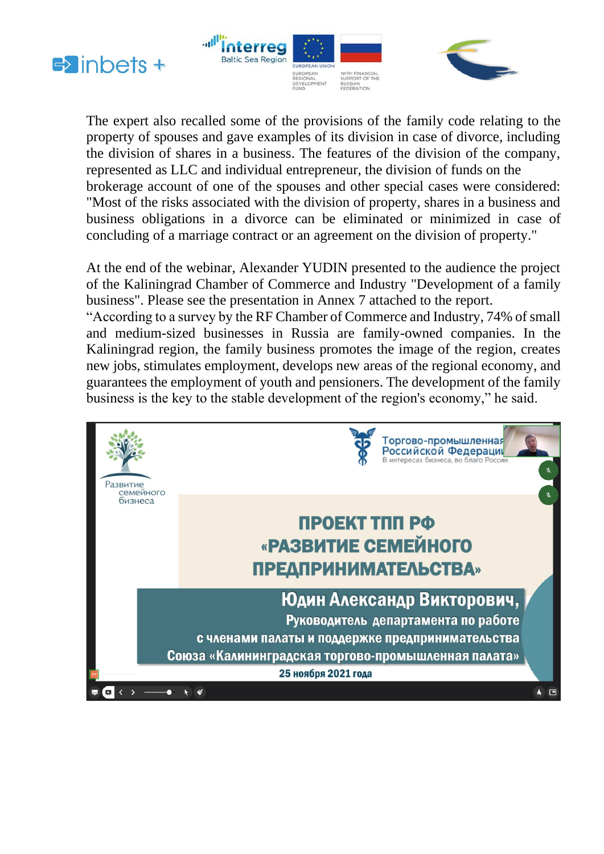





The expert also recalled some of the provisions of the family code relating to the property of spouses and gave examples of its division in case of divorce, including the division of shares in a business. The features of the division of the company, represented as LLC and individual entrepreneur, the division of funds on the brokerage account of one of the spouses and other special cases were considered: "Most of the risks associated with the division of property, shares in a business and business obligations in a divorce can be eliminated or minimized in case of concluding of a marriage contract or an agreement on the division of property."

At the end of the webinar, Alexander YUDIN presented to the audience the project of the Kaliningrad Chamber of Commerce and Industry "Development of a family business". Please see the presentation in Annex 7 attached to the report. "According to a survey by the RF Chamber of Commerce and Industry, 74% of small and medium-sized businesses in Russia are family-owned companies. In the Kaliningrad region, the family business promotes the image of the region, creates new jobs, stimulates employment, develops new areas of the regional economy, and guarantees the employment of youth and pensioners. The development of the family business is the key to the stable development of the region's economy," he said.